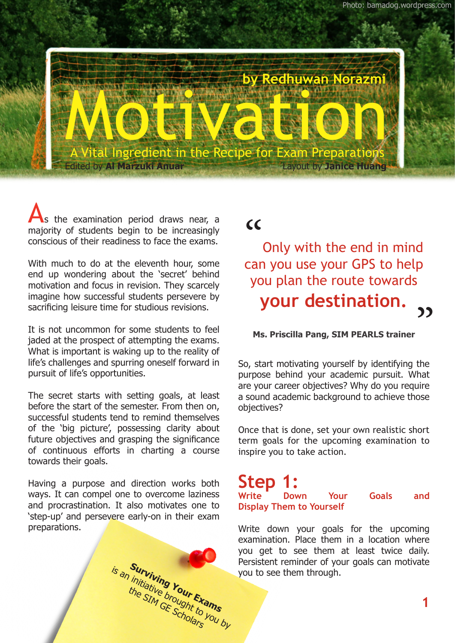

s the examination period draws near, a majority of students begin to be increasingly conscious of their readiness to face the exams.

With much to do at the eleventh hour, some end up wondering about the 'secret' behind motivation and focus in revision. They scarcely imagine how successful students persevere by sacrificing leisure time for studious revisions.

It is not uncommon for some students to feel jaded at the prospect of attempting the exams. What is important is waking up to the reality of life's challenges and spurring oneself forward in pursuit of life's opportunities.

The secret starts with setting goals, at least before the start of the semester. From then on, successful students tend to remind themselves of the 'big picture', possessing clarity about future objectives and grasping the significance of continuous efforts in charting a course towards their goals.

Having a purpose and direction works both ways. It can compel one to overcome laziness and procrastination. It also motivates one to 'step-up' and persevere early-on in their exam preparations.

> **Surviving Your Exams** is an initiative brour Exams<br>the SIM GE Scholars you by

## $cc$

Only with the end in mind can you use your GPS to help you plan the route towards **your destination.** ני

#### **Ms. Priscilla Pang, SIM PEARLS trainer**

So, start motivating yourself by identifying the purpose behind your academic pursuit. What are your career objectives? Why do you require a sound academic background to achieve those objectives?

Once that is done, set your own realistic short term goals for the upcoming examination to inspire you to take action.

# **Step 1:**<br>Write Down

**Write Down Your Goals and Display Them to Yourself**

Write down your goals for the upcoming examination. Place them in a location where you get to see them at least twice daily. Persistent reminder of your goals can motivate you to see them through.